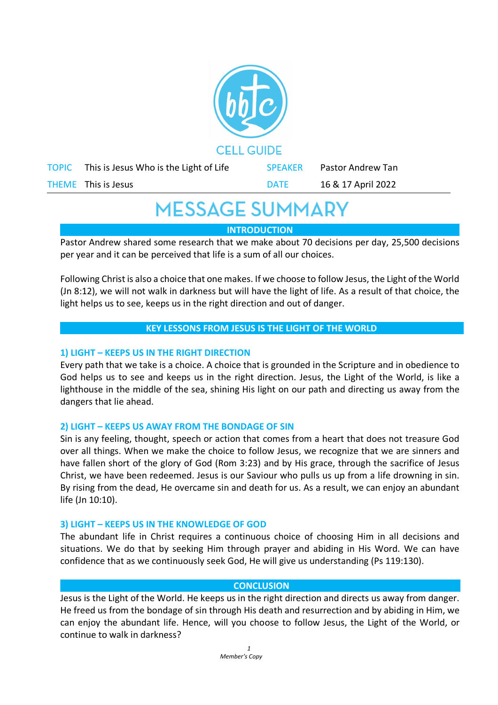

# **MESSAGE SUMMARY**

**INTRODUCTION**

Pastor Andrew shared some research that we make about 70 decisions per day, 25,500 decisions per year and it can be perceived that life is a sum of all our choices.

Following Christ is also a choice that one makes. If we choose to follow Jesus, the Light of the World (Jn 8:12), we will not walk in darkness but will have the light of life. As a result of that choice, the light helps us to see, keeps us in the right direction and out of danger.

## **KEY LESSONS FROM JESUS IS THE LIGHT OF THE WORLD**

## **1) LIGHT – KEEPS US IN THE RIGHT DIRECTION**

Every path that we take is a choice. A choice that is grounded in the Scripture and in obedience to God helps us to see and keeps us in the right direction. Jesus, the Light of the World, is like a lighthouse in the middle of the sea, shining His light on our path and directing us away from the dangers that lie ahead.

## **2) LIGHT – KEEPS US AWAY FROM THE BONDAGE OF SIN**

Sin is any feeling, thought, speech or action that comes from a heart that does not treasure God over all things. When we make the choice to follow Jesus, we recognize that we are sinners and have fallen short of the glory of God (Rom 3:23) and by His grace, through the sacrifice of Jesus Christ, we have been redeemed. Jesus is our Saviour who pulls us up from a life drowning in sin. By rising from the dead, He overcame sin and death for us. As a result, we can enjoy an abundant life (Jn 10:10).

#### **3) LIGHT – KEEPS US IN THE KNOWLEDGE OF GOD**

The abundant life in Christ requires a continuous choice of choosing Him in all decisions and situations. We do that by seeking Him through prayer and abiding in His Word. We can have confidence that as we continuously seek God, He will give us understanding (Ps 119:130).

#### **CONCLUSION**

Jesus is the Light of the World. He keeps us in the right direction and directs us away from danger. He freed us from the bondage of sin through His death and resurrection and by abiding in Him, we can enjoy the abundant life. Hence, will you choose to follow Jesus, the Light of the World, or continue to walk in darkness?